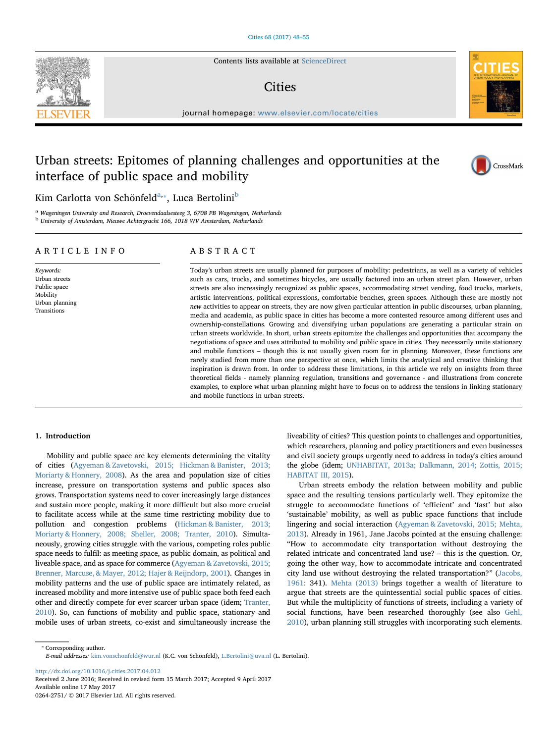Contents lists available at [ScienceDirect](http://www.sciencedirect.com/science/journal/02642751)

# **Cities**

journal homepage: [www.elsevier.com/locate/cities](http://www.elsevier.com/locate/cities)

# Urban streets: Epitomes of planning challenges and opportunities at the interface of public space and mobility

Kim Carlotta von Schönfeld<sup>[a,](#page-0-0)</sup><su[b](#page-0-2)>\*</sub>, Luca Bertolini<sup>b</sup>

<span id="page-0-2"></span><span id="page-0-0"></span><sup>a</sup> Wageningen University and Research, Droevendaalsesteeg 3, 6708 PB Wageningen, Netherlands <sup>b</sup> University of Amsterdam, Nieuwe Achtergracht 166, 1018 WV Amsterdam, Netherlands

### ARTICLE INFO

Keywords: Urban streets Public space Mobility Urban planning Transitions

### ABSTRACT

Today's urban streets are usually planned for purposes of mobility: pedestrians, as well as a variety of vehicles such as cars, trucks, and sometimes bicycles, are usually factored into an urban street plan. However, urban streets are also increasingly recognized as public spaces, accommodating street vending, food trucks, markets, artistic interventions, political expressions, comfortable benches, green spaces. Although these are mostly not new activities to appear on streets, they are now given particular attention in public discourses, urban planning, media and academia, as public space in cities has become a more contested resource among different uses and ownership-constellations. Growing and diversifying urban populations are generating a particular strain on urban streets worldwide. In short, urban streets epitomize the challenges and opportunities that accompany the negotiations of space and uses attributed to mobility and public space in cities. They necessarily unite stationary and mobile functions – though this is not usually given room for in planning. Moreover, these functions are rarely studied from more than one perspective at once, which limits the analytical and creative thinking that inspiration is drawn from. In order to address these limitations, in this article we rely on insights from three theoretical fields - namely planning regulation, transitions and governance - and illustrations from concrete examples, to explore what urban planning might have to focus on to address the tensions in linking stationary and mobile functions in urban streets.

### 1. Introduction

Mobility and public space are key elements determining the vitality of cities ([Agyeman & Zavetovski, 2015; Hickman & Banister, 2013;](#page-6-0) [Moriarty & Honnery, 2008](#page-6-0)). As the area and population size of cities increase, pressure on transportation systems and public spaces also grows. Transportation systems need to cover increasingly large distances and sustain more people, making it more difficult but also more crucial to facilitate access while at the same time restricting mobility due to pollution and congestion problems ([Hickman & Banister, 2013;](#page-7-0) [Moriarty & Honnery, 2008; Sheller, 2008; Tranter, 2010\)](#page-7-0). Simultaneously, growing cities struggle with the various, competing roles public space needs to fulfil: as meeting space, as public domain, as political and liveable space, and as space for commerce ([Agyeman & Zavetovski, 2015;](#page-6-0) [Brenner, Marcuse, & Mayer, 2012; Hajer & Reijndorp, 2001\)](#page-6-0). Changes in mobility patterns and the use of public space are intimately related, as increased mobility and more intensive use of public space both feed each other and directly compete for ever scarcer urban space (idem; [Tranter,](#page-7-1) [2010](#page-7-1)). So, can functions of mobility and public space, stationary and mobile uses of urban streets, co-exist and simultaneously increase the liveability of cities? This question points to challenges and opportunities, which researchers, planning and policy practitioners and even businesses and civil society groups urgently need to address in today's cities around the globe (idem; [UNHABITAT, 2013a; Dalkmann, 2014; Zottis, 2015;](#page-7-2) [HABITAT III, 2015](#page-7-2)).

Urban streets embody the relation between mobility and public space and the resulting tensions particularly well. They epitomize the struggle to accommodate functions of 'efficient' and 'fast' but also 'sustainable' mobility, as well as public space functions that include lingering and social interaction [\(Agyeman & Zavetovski, 2015; Mehta,](#page-6-0) [2013\)](#page-6-0). Already in 1961, Jane Jacobs pointed at the ensuing challenge: "How to accommodate city transportation without destroying the related intricate and concentrated land use? – this is the question. Or, going the other way, how to accommodate intricate and concentrated city land use without destroying the related transportation?" ([Jacobs,](#page-7-3) [1961:](#page-7-3) 341). [Mehta \(2013\)](#page-7-4) brings together a wealth of literature to argue that streets are the quintessential social public spaces of cities. But while the multiplicity of functions of streets, including a variety of social functions, have been researched thoroughly (see also [Gehl,](#page-7-5) [2010\)](#page-7-5), urban planning still struggles with incorporating such elements.

<span id="page-0-1"></span>⁎ Corresponding author. E-mail addresses: [kim.vonschonfeld@wur.nl](mailto:kim.vonschonfeld@wur.nl) (K.C. von Schönfeld), [L.Bertolini@uva.nl](mailto:L.Bertolini@uva.nl) (L. Bertolini).

<http://dx.doi.org/10.1016/j.cities.2017.04.012> Received 2 June 2016; Received in revised form 15 March 2017; Accepted 9 April 2017 Available online 17 May 2017

0264-2751/ © 2017 Elsevier Ltd. All rights reserved.





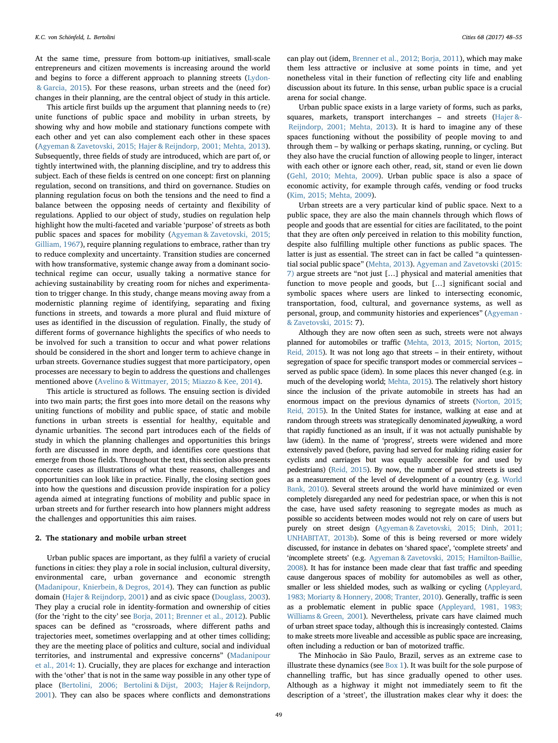At the same time, pressure from bottom-up initiatives, small-scale entrepreneurs and citizen movements is increasing around the world and begins to force a different approach to planning streets [\(Lydon-](#page-7-6) [& Garcia, 2015\)](#page-7-6). For these reasons, urban streets and the (need for) changes in their planning, are the central object of study in this article.

This article first builds up the argument that planning needs to (re) unite functions of public space and mobility in urban streets, by showing why and how mobile and stationary functions compete with each other and yet can also complement each other in these spaces ([Agyeman & Zavetovski, 2015; Hajer & Reijndorp, 2001; Mehta, 2013](#page-6-0)). Subsequently, three fields of study are introduced, which are part of, or tightly intertwined with, the planning discipline, and try to address this subject. Each of these fields is centred on one concept: first on planning regulation, second on transitions, and third on governance. Studies on planning regulation focus on both the tensions and the need to find a balance between the opposing needs of certainty and flexibility of regulations. Applied to our object of study, studies on regulation help highlight how the multi-faceted and variable 'purpose' of streets as both public spaces and spaces for mobility ([Agyeman & Zavetovski, 2015;](#page-6-0) [Gilliam, 1967\)](#page-6-0), require planning regulations to embrace, rather than try to reduce complexity and uncertainty. Transition studies are concerned with how transformative, systemic change away from a dominant sociotechnical regime can occur, usually taking a normative stance for achieving sustainability by creating room for niches and experimentation to trigger change. In this study, change means moving away from a modernistic planning regime of identifying, separating and fixing functions in streets, and towards a more plural and fluid mixture of uses as identified in the discussion of regulation. Finally, the study of different forms of governance highlights the specifics of who needs to be involved for such a transition to occur and what power relations should be considered in the short and longer term to achieve change in urban streets. Governance studies suggest that more participatory, open processes are necessary to begin to address the questions and challenges mentioned above [\(Avelino & Wittmayer, 2015; Miazzo & Kee, 2014\)](#page-6-1).

This article is structured as follows. The ensuing section is divided into two main parts; the first goes into more detail on the reasons why uniting functions of mobility and public space, of static and mobile functions in urban streets is essential for healthy, equitable and dynamic urbanities. The second part introduces each of the fields of study in which the planning challenges and opportunities this brings forth are discussed in more depth, and identifies core questions that emerge from those fields. Throughout the text, this section also presents concrete cases as illustrations of what these reasons, challenges and opportunities can look like in practice. Finally, the closing section goes into how the questions and discussion provide inspiration for a policy agenda aimed at integrating functions of mobility and public space in urban streets and for further research into how planners might address the challenges and opportunities this aim raises.

### 2. The stationary and mobile urban street

Urban public spaces are important, as they fulfil a variety of crucial functions in cities: they play a role in social inclusion, cultural diversity, environmental care, urban governance and economic strength ([Madanipour, Knierbein, & Degros, 2014](#page-7-7)). They can function as public domain ([Hajer & Reijndorp, 2001](#page-7-8)) and as civic space [\(Douglass, 2003](#page-7-9)). They play a crucial role in identity-formation and ownership of cities (for the 'right to the city' see [Borja, 2011; Brenner et al., 2012\)](#page-7-10). Public spaces can be defined as "crossroads, where different paths and trajectories meet, sometimes overlapping and at other times colliding; they are the meeting place of politics and culture, social and individual territories, and instrumental and expressive concerns" ([Madanipour](#page-7-7) [et al., 2014:](#page-7-7) 1). Crucially, they are places for exchange and interaction with the 'other' that is not in the same way possible in any other type of place ([Bertolini, 2006; Bertolini & Dijst, 2003; Hajer & Reijndorp,](#page-7-11) [2001\)](#page-7-11). They can also be spaces where conflicts and demonstrations

can play out (idem, [Brenner et al., 2012; Borja, 2011\)](#page-7-12), which may make them less attractive or inclusive at some points in time, and yet nonetheless vital in their function of reflecting city life and enabling discussion about its future. In this sense, urban public space is a crucial arena for social change.

Urban public space exists in a large variety of forms, such as parks, squares, markets, transport interchanges – and streets ([Hajer &-](#page-7-8) [Reijndorp, 2001; Mehta, 2013\)](#page-7-8). It is hard to imagine any of these spaces functioning without the possibility of people moving to and through them – by walking or perhaps skating, running, or cycling. But they also have the crucial function of allowing people to linger, interact with each other or ignore each other, read, sit, stand or even lie down ([Gehl, 2010; Mehta, 2009](#page-7-5)). Urban public space is also a space of economic activity, for example through cafés, vending or food trucks ([Kim, 2015; Mehta, 2009\)](#page-7-13).

Urban streets are a very particular kind of public space. Next to a public space, they are also the main channels through which flows of people and goods that are essential for cities are facilitated, to the point that they are often only perceived in relation to this mobility function, despite also fulfilling multiple other functions as public spaces. The latter is just as essential. The street can in fact be called "a quintessential social public space" ([Mehta, 2013\)](#page-7-4). [Agyeman and Zavetovski \(2015:](#page-6-0) [7\)](#page-6-0) argue streets are "not just […] physical and material amenities that function to move people and goods, but […] significant social and symbolic spaces where users are linked to intersecting economic, transportation, food, cultural, and governance systems, as well as personal, group, and community histories and experiences" [\(Agyeman](#page-6-0) - [& Zavetovski, 2015](#page-6-0): 7).

Although they are now often seen as such, streets were not always planned for automobiles or traffic [\(Mehta, 2013, 2015; Norton, 2015;](#page-7-4) [Reid, 2015](#page-7-4)). It was not long ago that streets – in their entirety, without segregation of space for specific transport modes or commercial services – served as public space (idem). In some places this never changed (e.g. in much of the developing world; [Mehta, 2015\)](#page-7-14). The relatively short history since the inclusion of the private automobile in streets has had an enormous impact on the previous dynamics of streets [\(Norton, 2015;](#page-7-15) [Reid, 2015](#page-7-15)). In the United States for instance, walking at ease and at random through streets was strategically denominated jaywalking, a word that rapidly functioned as an insult, if it was not actually punishable by law (idem). In the name of 'progress', streets were widened and more extensively paved (before, paving had served for making riding easier for cyclists and carriages but was equally accessible for and used by pedestrians) ([Reid, 2015\)](#page-7-16). By now, the number of paved streets is used as a measurement of the level of development of a country (e.g. [World](#page-7-17) [Bank, 2010](#page-7-17)). Several streets around the world have minimized or even completely disregarded any need for pedestrian space, or when this is not the case, have used safety reasoning to segregate modes as much as possible so accidents between modes would not rely on care of users but purely on street design ([Agyeman & Zavetovski, 2015; Dinh, 2011;](#page-6-0) [UNHABITAT, 2013b](#page-6-0)). Some of this is being reversed or more widely discussed, for instance in debates on 'shared space', 'complete streets' and 'incomplete streets' (e.g. [Agyeman & Zavetovski, 2015; Hamilton-Baillie,](#page-6-0) [2008\)](#page-6-0). It has for instance been made clear that fast traffic and speeding cause dangerous spaces of mobility for automobiles as well as other, smaller or less shielded modes, such as walking or cycling [\(Appleyard,](#page-6-2) [1983; Moriarty & Honnery, 2008; Tranter, 2010\)](#page-6-2). Generally, traffic is seen as a problematic element in public space [\(Appleyard, 1981, 1983;](#page-6-3) [Williams & Green, 2001\)](#page-6-3). Nevertheless, private cars have claimed much of urban street space today, although this is increasingly contested. Claims to make streets more liveable and accessible as public space are increasing, often including a reduction or ban of motorized traffic.

The Minhocão in São Paulo, Brazil, serves as an extreme case to illustrate these dynamics (see  $Box 1$ ). It was built for the sole purpose of channelling traffic, but has since gradually opened to other uses. Although as a highway it might not immediately seem to fit the description of a 'street', the illustration makes clear why it does: the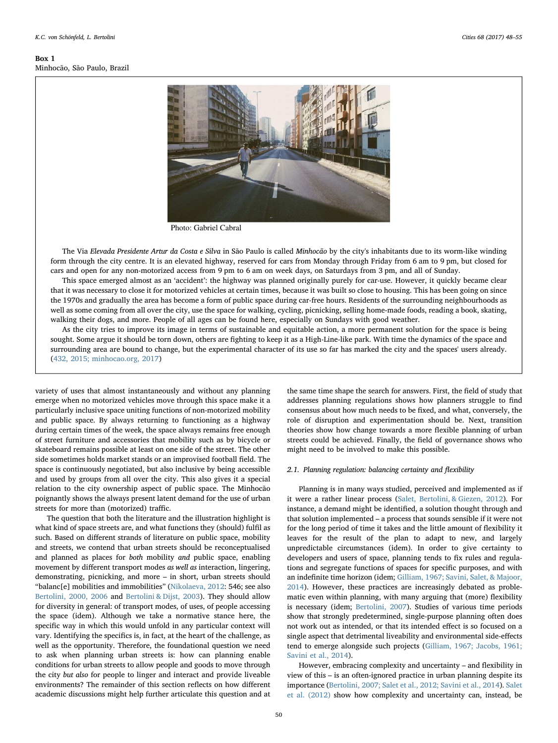<span id="page-2-0"></span>Minhocão, São Paulo, Brazil



Photo: Gabriel Cabral

The Via Elevada Presidente Artur da Costa e Silva in São Paulo is called Minhocão by the city's inhabitants due to its worm-like winding form through the city centre. It is an elevated highway, reserved for cars from Monday through Friday from 6 am to 9 pm, but closed for cars and open for any non-motorized access from 9 pm to 6 am on week days, on Saturdays from 3 pm, and all of Sunday.

This space emerged almost as an 'accident': the highway was planned originally purely for car-use. However, it quickly became clear that it was necessary to close it for motorized vehicles at certain times, because it was built so close to housing. This has been going on since the 1970s and gradually the area has become a form of public space during car-free hours. Residents of the surrounding neighbourhoods as well as some coming from all over the city, use the space for walking, cycling, picnicking, selling home-made foods, reading a book, skating, walking their dogs, and more. People of all ages can be found here, especially on Sundays with good weather.

As the city tries to improve its image in terms of sustainable and equitable action, a more permanent solution for the space is being sought. Some argue it should be torn down, others are fighting to keep it as a High-Line-like park. With time the dynamics of the space and surrounding area are bound to change, but the experimental character of its use so far has marked the city and the spaces' users already. [\(432, 2015; minhocao.org, 2017\)](#page-6-4)

variety of uses that almost instantaneously and without any planning emerge when no motorized vehicles move through this space make it a particularly inclusive space uniting functions of non-motorized mobility and public space. By always returning to functioning as a highway during certain times of the week, the space always remains free enough of street furniture and accessories that mobility such as by bicycle or skateboard remains possible at least on one side of the street. The other side sometimes holds market stands or an improvised football field. The space is continuously negotiated, but also inclusive by being accessible and used by groups from all over the city. This also gives it a special relation to the city ownership aspect of public space. The Minhocão poignantly shows the always present latent demand for the use of urban streets for more than (motorized) traffic.

The question that both the literature and the illustration highlight is what kind of space streets are, and what functions they (should) fulfil as such. Based on different strands of literature on public space, mobility and streets, we contend that urban streets should be reconceptualised and planned as places for both mobility and public space, enabling movement by different transport modes as well as interaction, lingering, demonstrating, picnicking, and more – in short, urban streets should "balanc[e] mobilities and immobilities" [\(Nikolaeva, 2012:](#page-7-18) 546; see also [Bertolini, 2000, 2006](#page-7-19) and [Bertolini & Dijst, 2003](#page-7-20)). They should allow for diversity in general: of transport modes, of uses, of people accessing the space (idem). Although we take a normative stance here, the specific way in which this would unfold in any particular context will vary. Identifying the specifics is, in fact, at the heart of the challenge, as well as the opportunity. Therefore, the foundational question we need to ask when planning urban streets is: how can planning enable conditions for urban streets to allow people and goods to move through the city but also for people to linger and interact and provide liveable environments? The remainder of this section reflects on how different academic discussions might help further articulate this question and at

the same time shape the search for answers. First, the field of study that addresses planning regulations shows how planners struggle to find consensus about how much needs to be fixed, and what, conversely, the role of disruption and experimentation should be. Next, transition theories show how change towards a more flexible planning of urban streets could be achieved. Finally, the field of governance shows who might need to be involved to make this possible.

#### 2.1. Planning regulation: balancing certainty and flexibility

Planning is in many ways studied, perceived and implemented as if it were a rather linear process ([Salet, Bertolini, & Giezen, 2012](#page-7-21)). For instance, a demand might be identified, a solution thought through and that solution implemented – a process that sounds sensible if it were not for the long period of time it takes and the little amount of flexibility it leaves for the result of the plan to adapt to new, and largely unpredictable circumstances (idem). In order to give certainty to developers and users of space, planning tends to fix rules and regulations and segregate functions of spaces for specific purposes, and with an indefinite time horizon (idem; [Gilliam, 1967; Savini, Salet, & Majoor,](#page-7-22) [2014\)](#page-7-22). However, these practices are increasingly debated as problematic even within planning, with many arguing that (more) flexibility is necessary (idem; [Bertolini, 2007](#page-7-23)). Studies of various time periods show that strongly predetermined, single-purpose planning often does not work out as intended, or that its intended effect is so focused on a single aspect that detrimental liveability and environmental side-effects tend to emerge alongside such projects ([Gilliam, 1967; Jacobs, 1961;](#page-7-22) [Savini et al., 2014\)](#page-7-22).

However, embracing complexity and uncertainty – and flexibility in view of this – is an often-ignored practice in urban planning despite its importance [\(Bertolini, 2007; Salet et al., 2012; Savini et al., 2014](#page-7-23)). [Salet](#page-7-21) [et al. \(2012\)](#page-7-21) show how complexity and uncertainty can, instead, be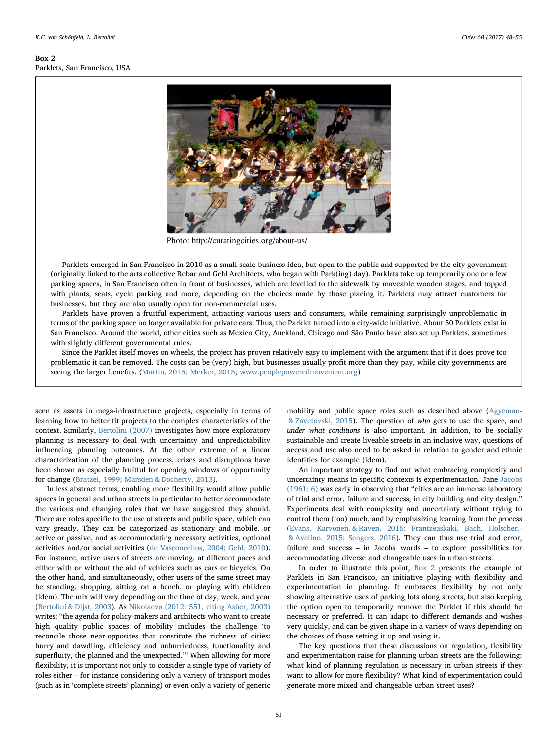<span id="page-3-0"></span>Parklets, San Francisco, USA



Photo: http://curatingcities.org/about-us/

Parklets emerged in San Francisco in 2010 as a small-scale business idea, but open to the public and supported by the city government (originally linked to the arts collective Rebar and Gehl Architects, who began with Park(ing) day). Parklets take up temporarily one or a few parking spaces, in San Francisco often in front of businesses, which are levelled to the sidewalk by moveable wooden stages, and topped with plants, seats, cycle parking and more, depending on the choices made by those placing it. Parklets may attract customers for businesses, but they are also usually open for non-commercial uses.

Parklets have proven a fruitful experiment, attracting various users and consumers, while remaining surprisingly unproblematic in terms of the parking space no longer available for private cars. Thus, the Parklet turned into a city-wide initiative. About 50 Parklets exist in San Francisco. Around the world, other cities such as Mexico City, Auckland, Chicago and São Paulo have also set up Parklets, sometimes with slightly different governmental rules.

Since the Parklet itself moves on wheels, the project has proven relatively easy to implement with the argument that if it does prove too problematic it can be removed. The costs can be (very) high, but businesses usually profit more than they pay, while city governments are seeing the larger benefits. ([Martin, 2015; Merker, 2015](#page-7-27); [www.peoplepoweredmovement.org\)](http://www.peoplepoweredmovement.org)

seen as assets in mega-infrastructure projects, especially in terms of learning how to better fit projects to the complex characteristics of the context. Similarly, [Bertolini \(2007\)](#page-7-23) investigates how more exploratory planning is necessary to deal with uncertainty and unpredictability influencing planning outcomes. At the other extreme of a linear characterization of the planning process, crises and disruptions have been shown as especially fruitful for opening windows of opportunity for change ([Bratzel, 1999; Marsden & Docherty, 2013](#page-7-24)).

In less abstract terms, enabling more flexibility would allow public spaces in general and urban streets in particular to better accommodate the various and changing roles that we have suggested they should. There are roles specific to the use of streets and public space, which can vary greatly. They can be categorized as stationary and mobile, or active or passive, and as accommodating necessary activities, optional activities and/or social activities ([de Vasconcellos, 2004; Gehl, 2010](#page-7-25)). For instance, active users of streets are moving, at different paces and either with or without the aid of vehicles such as cars or bicycles. On the other hand, and simultaneously, other users of the same street may be standing, shopping, sitting on a bench, or playing with children (idem). The mix will vary depending on the time of day, week, and year ([Bertolini & Dijst, 2003\)](#page-7-20). As [Nikolaeva \(2012: 551, citing Asher, 2003\)](#page-7-18) writes: "the agenda for policy-makers and architects who want to create high quality public spaces of mobility includes the challenge 'to reconcile those near-opposites that constitute the richness of cities: hurry and dawdling, efficiency and unhurriedness, functionality and superfluity, the planned and the unexpected.'" When allowing for more flexibility, it is important not only to consider a single type of variety of roles either – for instance considering only a variety of transport modes (such as in 'complete streets' planning) or even only a variety of generic

mobility and public space roles such as described above [\(Agyeman-](#page-6-0) [& Zavetovski, 2015\)](#page-6-0). The question of who gets to use the space, and under what conditions is also important. In addition, to be socially sustainable and create liveable streets in an inclusive way, questions of access and use also need to be asked in relation to gender and ethnic identities for example (idem).

An important strategy to find out what embracing complexity and uncertainty means in specific contexts is experimentation. Jane [Jacobs](#page-7-3) [\(1961: 6\)](#page-7-3) was early in observing that "cities are an immense laboratory of trial and error, failure and success, in city building and city design." Experiments deal with complexity and uncertainty without trying to control them (too) much, and by emphasizing learning from the process ([Evans, Karvonen, & Raven, 2016; Frantzeaskaki, Bach, Holscher,-](#page-7-26) [& Avelino, 2015; Sengers, 2016\)](#page-7-26). They can thus use trial and error, failure and success – in Jacobs' words – to explore possibilities for accommodating diverse and changeable uses in urban streets.

In order to illustrate this point, [Box](#page-3-0) 2 presents the example of Parklets in San Francisco, an initiative playing with flexibility and experimentation in planning. It embraces flexibility by not only showing alternative uses of parking lots along streets, but also keeping the option open to temporarily remove the Parklet if this should be necessary or preferred. It can adapt to different demands and wishes very quickly, and can be given shape in a variety of ways depending on the choices of those setting it up and using it.

The key questions that these discussions on regulation, flexibility and experimentation raise for planning urban streets are the following: what kind of planning regulation is necessary in urban streets if they want to allow for more flexibility? What kind of experimentation could generate more mixed and changeable urban street uses?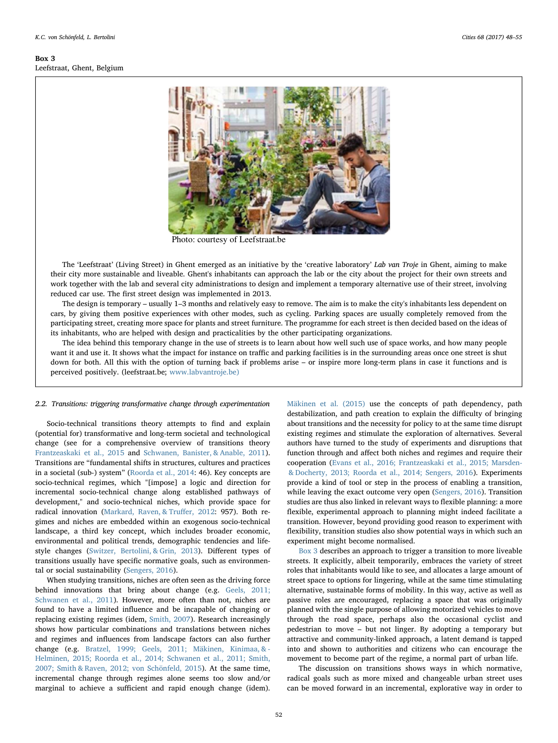<span id="page-4-0"></span>Leefstraat, Ghent, Belgium



Photo: courtesy of Leefstraat.be

The 'Leefstraat' (Living Street) in Ghent emerged as an initiative by the 'creative laboratory' Lab van Troje in Ghent, aiming to make their city more sustainable and liveable. Ghent's inhabitants can approach the lab or the city about the project for their own streets and work together with the lab and several city administrations to design and implement a temporary alternative use of their street, involving reduced car use. The first street design was implemented in 2013.

The design is temporary – usually 1–3 months and relatively easy to remove. The aim is to make the city's inhabitants less dependent on cars, by giving them positive experiences with other modes, such as cycling. Parking spaces are usually completely removed from the participating street, creating more space for plants and street furniture. The programme for each street is then decided based on the ideas of its inhabitants, who are helped with design and practicalities by the other participating organizations.

The idea behind this temporary change in the use of streets is to learn about how well such use of space works, and how many people want it and use it. It shows what the impact for instance on traffic and parking facilities is in the surrounding areas once one street is shut down for both. All this with the option of turning back if problems arise – or inspire more long-term plans in case it functions and is perceived positively. (leefstraat.be; [www.labvantroje.be\)](http://www.labvantroje.be)

### 2.2. Transitions: triggering transformative change through experimentation

Socio-technical transitions theory attempts to find and explain (potential for) transformative and long-term societal and technological change (see for a comprehensive overview of transitions theory [Frantzeaskaki et al., 2015](#page-7-28) and [Schwanen, Banister, & Anable, 2011](#page-7-29)). Transitions are "fundamental shifts in structures, cultures and practices in a societal (sub-) system" ([Roorda et al., 2014](#page-7-30): 46). Key concepts are socio-technical regimes, which "[impose] a logic and direction for incremental socio-technical change along established pathways of development," and socio-technical niches, which provide space for radical innovation [\(Markard, Raven, & Tru](#page-7-31)ffer, 2012: 957). Both regimes and niches are embedded within an exogenous socio-technical landscape, a third key concept, which includes broader economic, environmental and political trends, demographic tendencies and lifestyle changes [\(Switzer, Bertolini, & Grin, 2013](#page-7-32)). Different types of transitions usually have specific normative goals, such as environmental or social sustainability [\(Sengers, 2016\)](#page-7-33).

When studying transitions, niches are often seen as the driving force behind innovations that bring about change (e.g. [Geels, 2011;](#page-7-34) [Schwanen et al., 2011](#page-7-34)). However, more often than not, niches are found to have a limited influence and be incapable of changing or replacing existing regimes (idem, [Smith, 2007](#page-7-35)). Research increasingly shows how particular combinations and translations between niches and regimes and influences from landscape factors can also further change (e.g. [Bratzel, 1999; Geels, 2011; Mäkinen, Kinimaa, & -](#page-7-24) [Helminen, 2015; Roorda et al., 2014; Schwanen et al., 2011; Smith,](#page-7-24) [2007; Smith & Raven, 2012; von Schönfeld, 2015](#page-7-24)). At the same time, incremental change through regimes alone seems too slow and/or marginal to achieve a sufficient and rapid enough change (idem).

[Mäkinen et al. \(2015\)](#page-7-36) use the concepts of path dependency, path destabilization, and path creation to explain the difficulty of bringing about transitions and the necessity for policy to at the same time disrupt existing regimes and stimulate the exploration of alternatives. Several authors have turned to the study of experiments and disruptions that function through and affect both niches and regimes and require their cooperation ([Evans et al., 2016; Frantzeaskaki et al., 2015; Marsden-](#page-7-26) [& Docherty, 2013; Roorda et al., 2014; Sengers, 2016](#page-7-26)). Experiments provide a kind of tool or step in the process of enabling a transition, while leaving the exact outcome very open [\(Sengers, 2016\)](#page-7-33). Transition studies are thus also linked in relevant ways to flexible planning: a more flexible, experimental approach to planning might indeed facilitate a transition. However, beyond providing good reason to experiment with flexibility, transition studies also show potential ways in which such an experiment might become normalised.

[Box 3](#page-4-0) describes an approach to trigger a transition to more liveable streets. It explicitly, albeit temporarily, embraces the variety of street roles that inhabitants would like to see, and allocates a large amount of street space to options for lingering, while at the same time stimulating alternative, sustainable forms of mobility. In this way, active as well as passive roles are encouraged, replacing a space that was originally planned with the single purpose of allowing motorized vehicles to move through the road space, perhaps also the occasional cyclist and pedestrian to move – but not linger. By adopting a temporary but attractive and community-linked approach, a latent demand is tapped into and shown to authorities and citizens who can encourage the movement to become part of the regime, a normal part of urban life.

The discussion on transitions shows ways in which normative, radical goals such as more mixed and changeable urban street uses can be moved forward in an incremental, explorative way in order to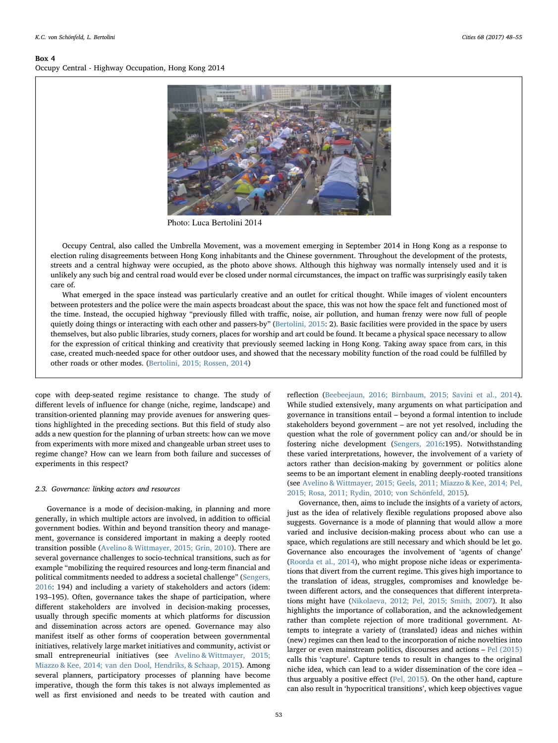<span id="page-5-0"></span>Occupy Central - Highway Occupation, Hong Kong 2014



Photo: Luca Bertolini 2014

Occupy Central, also called the Umbrella Movement, was a movement emerging in September 2014 in Hong Kong as a response to election ruling disagreements between Hong Kong inhabitants and the Chinese government. Throughout the development of the protests, streets and a central highway were occupied, as the photo above shows. Although this highway was normally intensely used and it is unlikely any such big and central road would ever be closed under normal circumstances, the impact on traffic was surprisingly easily taken care of.

What emerged in the space instead was particularly creative and an outlet for critical thought. While images of violent encounters between protesters and the police were the main aspects broadcast about the space, this was not how the space felt and functioned most of the time. Instead, the occupied highway "previously filled with traffic, noise, air pollution, and human frenzy were now full of people quietly doing things or interacting with each other and passers-by" [\(Bertolini, 2015](#page-7-38): 2). Basic facilities were provided in the space by users themselves, but also public libraries, study corners, places for worship and art could be found. It became a physical space necessary to allow for the expression of critical thinking and creativity that previously seemed lacking in Hong Kong. Taking away space from cars, in this case, created much-needed space for other outdoor uses, and showed that the necessary mobility function of the road could be fulfilled by other roads or other modes. [\(Bertolini, 2015; Rossen, 2014\)](#page-7-38)

cope with deep-seated regime resistance to change. The study of different levels of influence for change (niche, regime, landscape) and transition-oriented planning may provide avenues for answering questions highlighted in the preceding sections. But this field of study also adds a new question for the planning of urban streets: how can we move from experiments with more mixed and changeable urban street uses to regime change? How can we learn from both failure and successes of experiments in this respect?

### 2.3. Governance: linking actors and resources

Governance is a mode of decision-making, in planning and more generally, in which multiple actors are involved, in addition to official government bodies. Within and beyond transition theory and management, governance is considered important in making a deeply rooted transition possible ([Avelino & Wittmayer, 2015; Grin, 2010\)](#page-6-1). There are several governance challenges to socio-technical transitions, such as for example "mobilizing the required resources and long-term financial and political commitments needed to address a societal challenge" [\(Sengers,](#page-7-33) [2016:](#page-7-33) 194) and including a variety of stakeholders and actors (idem: 193–195). Often, governance takes the shape of participation, where different stakeholders are involved in decision-making processes, usually through specific moments at which platforms for discussion and dissemination across actors are opened. Governance may also manifest itself as other forms of cooperation between governmental initiatives, relatively large market initiatives and community, activist or small entrepreneurial initiatives (see [Avelino & Wittmayer, 2015;](#page-6-1) [Miazzo & Kee, 2014; van den Dool, Hendriks, & Schaap, 2015\)](#page-6-1). Among several planners, participatory processes of planning have become imperative, though the form this takes is not always implemented as well as first envisioned and needs to be treated with caution and

reflection [\(Beebeejaun, 2016; Birnbaum, 2015; Savini et al., 2014](#page-6-5)). While studied extensively, many arguments on what participation and governance in transitions entail – beyond a formal intention to include stakeholders beyond government – are not yet resolved, including the question what the role of government policy can and/or should be in fostering niche development ([Sengers, 2016:](#page-7-33)195). Notwithstanding these varied interpretations, however, the involvement of a variety of actors rather than decision-making by government or politics alone seems to be an important element in enabling deeply-rooted transitions (see [Avelino & Wittmayer, 2015; Geels, 2011; Miazzo & Kee, 2014; Pel,](#page-6-1) [2015; Rosa, 2011; Rydin, 2010; von Schönfeld, 2015\)](#page-6-1).

Governance, then, aims to include the insights of a variety of actors, just as the idea of relatively flexible regulations proposed above also suggests. Governance is a mode of planning that would allow a more varied and inclusive decision-making process about who can use a space, which regulations are still necessary and which should be let go. Governance also encourages the involvement of 'agents of change' ([Roorda et al., 2014\)](#page-7-30), who might propose niche ideas or experimentations that divert from the current regime. This gives high importance to the translation of ideas, struggles, compromises and knowledge between different actors, and the consequences that different interpretations might have [\(Nikolaeva, 2012; Pel, 2015; Smith, 2007\)](#page-7-18). It also highlights the importance of collaboration, and the acknowledgement rather than complete rejection of more traditional government. Attempts to integrate a variety of (translated) ideas and niches within (new) regimes can then lead to the incorporation of niche novelties into larger or even mainstream politics, discourses and actions – [Pel \(2015\)](#page-7-37) calls this 'capture'. Capture tends to result in changes to the original niche idea, which can lead to a wider dissemination of the core idea – thus arguably a positive effect [\(Pel, 2015](#page-7-37)). On the other hand, capture can also result in 'hypocritical transitions', which keep objectives vague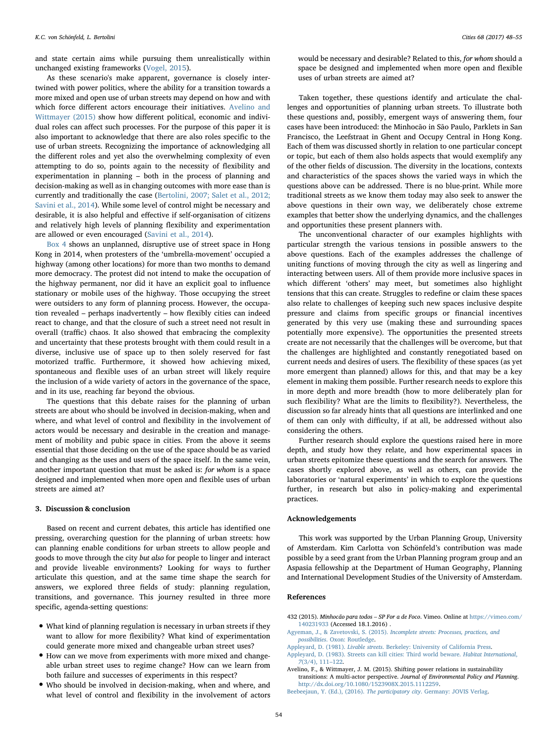and state certain aims while pursuing them unrealistically within unchanged existing frameworks [\(Vogel, 2015\)](#page-7-39).

As these scenario's make apparent, governance is closely intertwined with power politics, where the ability for a transition towards a more mixed and open use of urban streets may depend on how and with which force different actors encourage their initiatives. [Avelino and](#page-6-1) [Wittmayer \(2015\)](#page-6-1) show how different political, economic and individual roles can affect such processes. For the purpose of this paper it is also important to acknowledge that there are also roles specific to the use of urban streets. Recognizing the importance of acknowledging all the different roles and yet also the overwhelming complexity of even attempting to do so, points again to the necessity of flexibility and experimentation in planning – both in the process of planning and decision-making as well as in changing outcomes with more ease than is currently and traditionally the case [\(Bertolini, 2007; Salet et al., 2012;](#page-7-23) [Savini et al., 2014](#page-7-23)). While some level of control might be necessary and desirable, it is also helpful and effective if self-organisation of citizens and relatively high levels of planning flexibility and experimentation are allowed or even encouraged [\(Savini et al., 2014\)](#page-7-40).

[Box 4](#page-5-0) shows an unplanned, disruptive use of street space in Hong Kong in 2014, when protesters of the 'umbrella-movement' occupied a highway (among other locations) for more than two months to demand more democracy. The protest did not intend to make the occupation of the highway permanent, nor did it have an explicit goal to influence stationary or mobile uses of the highway. Those occupying the street were outsiders to any form of planning process. However, the occupation revealed – perhaps inadvertently – how flexibly cities can indeed react to change, and that the closure of such a street need not result in overall (traffic) chaos. It also showed that embracing the complexity and uncertainty that these protests brought with them could result in a diverse, inclusive use of space up to then solely reserved for fast motorized traffic. Furthermore, it showed how achieving mixed, spontaneous and flexible uses of an urban street will likely require the inclusion of a wide variety of actors in the governance of the space, and in its use, reaching far beyond the obvious.

The questions that this debate raises for the planning of urban streets are about who should be involved in decision-making, when and where, and what level of control and flexibility in the involvement of actors would be necessary and desirable in the creation and management of mobility and pubic space in cities. From the above it seems essential that those deciding on the use of the space should be as varied and changing as the uses and users of the space itself. In the same vein, another important question that must be asked is: for whom is a space designed and implemented when more open and flexible uses of urban streets are aimed at?

### 3. Discussion & conclusion

Based on recent and current debates, this article has identified one pressing, overarching question for the planning of urban streets: how can planning enable conditions for urban streets to allow people and goods to move through the city but also for people to linger and interact and provide liveable environments? Looking for ways to further articulate this question, and at the same time shape the search for answers, we explored three fields of study: planning regulation, transitions, and governance. This journey resulted in three more specific, agenda-setting questions:

- What kind of planning regulation is necessary in urban streets if they want to allow for more flexibility? What kind of experimentation could generate more mixed and changeable urban street uses?
- How can we move from experiments with more mixed and changeable urban street uses to regime change? How can we learn from both failure and successes of experiments in this respect?
- Who should be involved in decision-making, when and where, and what level of control and flexibility in the involvement of actors

would be necessary and desirable? Related to this, for whom should a space be designed and implemented when more open and flexible uses of urban streets are aimed at?

Taken together, these questions identify and articulate the challenges and opportunities of planning urban streets. To illustrate both these questions and, possibly, emergent ways of answering them, four cases have been introduced: the Minhocão in São Paulo, Parklets in San Francisco, the Leefstraat in Ghent and Occupy Central in Hong Kong. Each of them was discussed shortly in relation to one particular concept or topic, but each of them also holds aspects that would exemplify any of the other fields of discussion. The diversity in the locations, contexts and characteristics of the spaces shows the varied ways in which the questions above can be addressed. There is no blue-print. While more traditional streets as we know them today may also seek to answer the above questions in their own way, we deliberately chose extreme examples that better show the underlying dynamics, and the challenges and opportunities these present planners with.

The unconventional character of our examples highlights with particular strength the various tensions in possible answers to the above questions. Each of the examples addresses the challenge of uniting functions of moving through the city as well as lingering and interacting between users. All of them provide more inclusive spaces in which different 'others' may meet, but sometimes also highlight tensions that this can create. Struggles to redefine or claim these spaces also relate to challenges of keeping such new spaces inclusive despite pressure and claims from specific groups or financial incentives generated by this very use (making these and surrounding spaces potentially more expensive). The opportunities the presented streets create are not necessarily that the challenges will be overcome, but that the challenges are highlighted and constantly renegotiated based on current needs and desires of users. The flexibility of these spaces (as yet more emergent than planned) allows for this, and that may be a key element in making them possible. Further research needs to explore this in more depth and more breadth (how to more deliberately plan for such flexibility? What are the limits to flexibility?). Nevertheless, the discussion so far already hints that all questions are interlinked and one of them can only with difficulty, if at all, be addressed without also considering the others.

Further research should explore the questions raised here in more depth, and study how they relate, and how experimental spaces in urban streets epitomize these questions and the search for answers. The cases shortly explored above, as well as others, can provide the laboratories or 'natural experiments' in which to explore the questions further, in research but also in policy-making and experimental practices.

#### Acknowledgements

This work was supported by the Urban Planning Group, University of Amsterdam. Kim Carlotta von Schönfeld's contribution was made possible by a seed grant from the Urban Planning program group and an Aspasia fellowship at the Department of Human Geography, Planning and International Development Studies of the University of Amsterdam.

### References

- <span id="page-6-4"></span>432 (2015). Minhocão para todos – SP For a de Foco. Vimeo. Online at [https://vimeo.com/](https://vimeo.com/140231933) [140231933](https://vimeo.com/140231933) (Accessed 18.1.2016) .
- <span id="page-6-0"></span>Agyeman, J., & Zavetovski, S. (2015). [Incomplete streets: Processes, practices, and](http://refhub.elsevier.com/S0264-2751(16)30203-7/rf0010) possibilities[. Oxon: Routledge.](http://refhub.elsevier.com/S0264-2751(16)30203-7/rf0010)
- <span id="page-6-3"></span>Appleyard, D. (1981). Livable streets[. Berkeley: University of California Press](http://refhub.elsevier.com/S0264-2751(16)30203-7/rf0015).
- <span id="page-6-2"></span>[Appleyard, D. \(1983\). Streets can kill cities: Third world beware.](http://refhub.elsevier.com/S0264-2751(16)30203-7/rf0020) Habitat International, 7[\(3/4\), 111](http://refhub.elsevier.com/S0264-2751(16)30203-7/rf0020)–122.
- <span id="page-6-1"></span>Avelino, F., & Wittmayer, J. M. (2015). Shifting power relations in sustainability transitions: A multi-actor perspective. Journal of Environmental Policy and Planning. [http://dx.doi.org/10.1080/1523908X.2015.1112259.](http://dx.doi.org/10.1080/1523908X.2015.1112259)
- <span id="page-6-5"></span>[Beebeejaun, Y. \(Ed.\), \(2016\).](http://refhub.elsevier.com/S0264-2751(16)30203-7/rf0030) The participatory city. Germany: JOVIS Verlag.